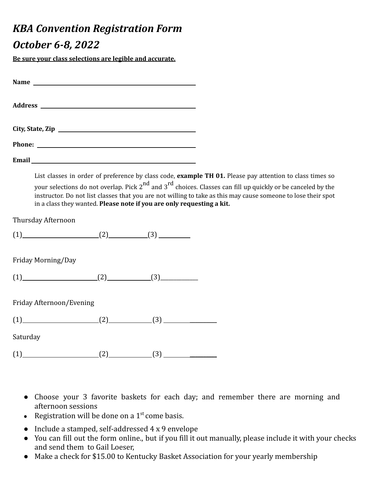## *KBA Convention Registration Form*

## *October 6-8, 2022*

**Be sure your class selections are legible and accurate.**

| Email <u>and the contract of the contract of the contract of the contract of the contract of the contract of the contract of the contract of the contract of the contract of the contract of the contract of the contract of the</u>                                                                                                                                                                                                      |  |
|-------------------------------------------------------------------------------------------------------------------------------------------------------------------------------------------------------------------------------------------------------------------------------------------------------------------------------------------------------------------------------------------------------------------------------------------|--|
| List classes in order of preference by class code, example TH 01. Please pay attention to class times so<br>your selections do not overlap. Pick 2 <sup>nd</sup> and 3 <sup>rd</sup> choices. Classes can fill up quickly or be canceled by the<br>instructor. Do not list classes that you are not willing to take as this may cause someone to lose their spot<br>in a class they wanted. Please note if you are only requesting a kit. |  |
| Thursday Afternoon                                                                                                                                                                                                                                                                                                                                                                                                                        |  |
| $(2)$ $(3)$ $(3)$                                                                                                                                                                                                                                                                                                                                                                                                                         |  |

Friday Morning/Day

| $\epsilon$<br><u>д.</u> | . . |  |
|-------------------------|-----|--|
|-------------------------|-----|--|

Friday Afternoon/Evening

| . . |  | . . |  |
|-----|--|-----|--|
|-----|--|-----|--|

Saturday

 $(1)$   $(2)$   $(3)$   $(3)$ 

- Choose your 3 favorite baskets for each day; and remember there are morning and afternoon sessions
- Registration will be done on a  $1<sup>st</sup>$  come basis.
- Include a stamped, self-addressed 4 x 9 envelope
- You can fill out the form online., but if you fill it out manually, please include it with your checks and send them to Gail Loeser,

● Make a check for \$15.00 to Kentucky Basket Association for your yearly membership